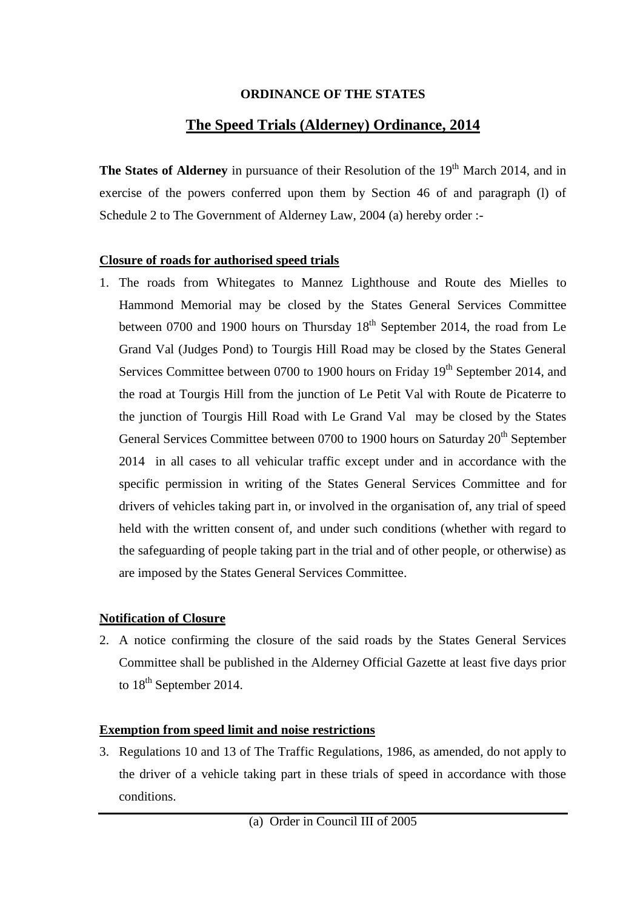#### **ORDINANCE OF THE STATES**

# **The Speed Trials (Alderney) Ordinance, 2014**

**The States of Alderney** in pursuance of their Resolution of the 19<sup>th</sup> March 2014, and in exercise of the powers conferred upon them by Section 46 of and paragraph (l) of Schedule 2 to The Government of Alderney Law, 2004 (a) hereby order :-

## **Closure of roads for authorised speed trials**

1. The roads from Whitegates to Mannez Lighthouse and Route des Mielles to Hammond Memorial may be closed by the States General Services Committee between 0700 and 1900 hours on Thursday  $18<sup>th</sup>$  September 2014, the road from Le Grand Val (Judges Pond) to Tourgis Hill Road may be closed by the States General Services Committee between 0700 to 1900 hours on Friday 19<sup>th</sup> September 2014, and the road at Tourgis Hill from the junction of Le Petit Val with Route de Picaterre to the junction of Tourgis Hill Road with Le Grand Val may be closed by the States General Services Committee between 0700 to 1900 hours on Saturday 20<sup>th</sup> September 2014 in all cases to all vehicular traffic except under and in accordance with the specific permission in writing of the States General Services Committee and for drivers of vehicles taking part in, or involved in the organisation of, any trial of speed held with the written consent of, and under such conditions (whether with regard to the safeguarding of people taking part in the trial and of other people, or otherwise) as are imposed by the States General Services Committee.

## **Notification of Closure**

2. A notice confirming the closure of the said roads by the States General Services Committee shall be published in the Alderney Official Gazette at least five days prior to 18<sup>th</sup> September 2014.

## **Exemption from speed limit and noise restrictions**

3. Regulations 10 and 13 of The Traffic Regulations, 1986, as amended, do not apply to the driver of a vehicle taking part in these trials of speed in accordance with those conditions.